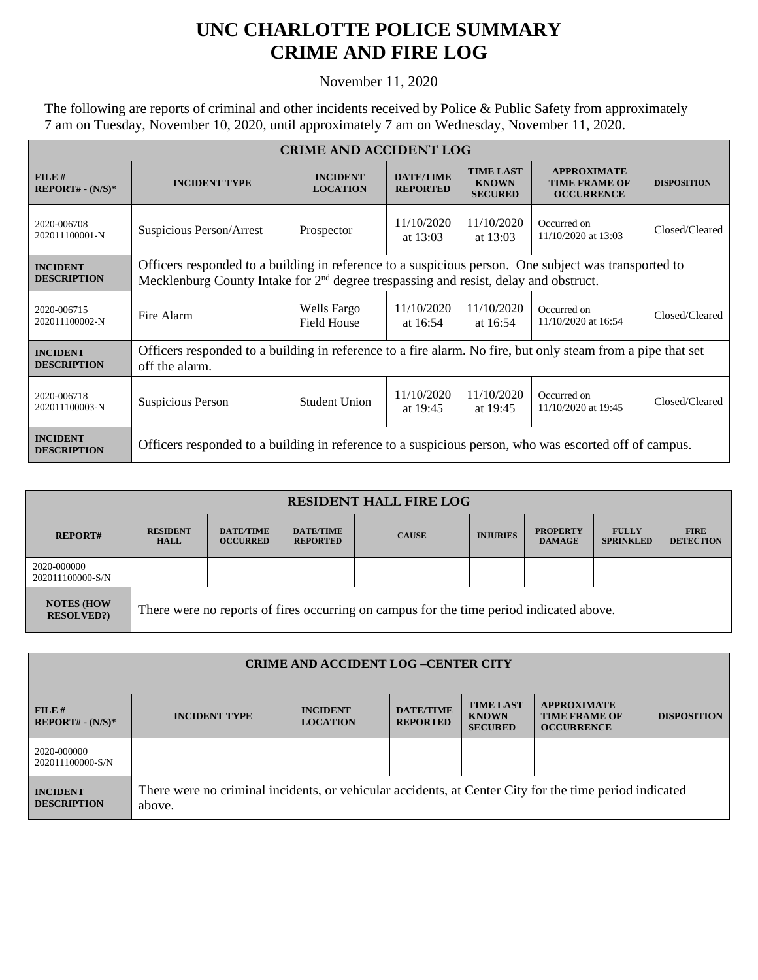## **UNC CHARLOTTE POLICE SUMMARY CRIME AND FIRE LOG**

## November 11, 2020

The following are reports of criminal and other incidents received by Police & Public Safety from approximately 7 am on Tuesday, November 10, 2020, until approximately 7 am on Wednesday, November 11, 2020.

| <b>CRIME AND ACCIDENT LOG</b>         |                                                                                                                                                                                                |                                    |                                     |                                                    |                                                                 |                    |  |
|---------------------------------------|------------------------------------------------------------------------------------------------------------------------------------------------------------------------------------------------|------------------------------------|-------------------------------------|----------------------------------------------------|-----------------------------------------------------------------|--------------------|--|
| FILE#<br>$REPORT# - (N/S)*$           | <b>INCIDENT TYPE</b>                                                                                                                                                                           | <b>INCIDENT</b><br><b>LOCATION</b> | <b>DATE/TIME</b><br><b>REPORTED</b> | <b>TIME LAST</b><br><b>KNOWN</b><br><b>SECURED</b> | <b>APPROXIMATE</b><br><b>TIME FRAME OF</b><br><b>OCCURRENCE</b> | <b>DISPOSITION</b> |  |
| 2020-006708<br>202011100001-N         | Suspicious Person/Arrest                                                                                                                                                                       | Prospector                         | 11/10/2020<br>at $13:03$            | 11/10/2020<br>at $13:03$                           | Occurred on<br>11/10/2020 at 13:03                              | Closed/Cleared     |  |
| <b>INCIDENT</b><br><b>DESCRIPTION</b> | Officers responded to a building in reference to a suspicious person. One subject was transported to<br>Mecklenburg County Intake for $2nd$ degree trespassing and resist, delay and obstruct. |                                    |                                     |                                                    |                                                                 |                    |  |
| 2020-006715<br>202011100002-N         | Fire Alarm                                                                                                                                                                                     | Wells Fargo<br><b>Field House</b>  | 11/10/2020<br>at $16:54$            | 11/10/2020<br>at $16:54$                           | Occurred on<br>11/10/2020 at 16:54                              | Closed/Cleared     |  |
| <b>INCIDENT</b><br><b>DESCRIPTION</b> | Officers responded to a building in reference to a fire alarm. No fire, but only steam from a pipe that set<br>off the alarm.                                                                  |                                    |                                     |                                                    |                                                                 |                    |  |
| 2020-006718<br>202011100003-N         | Suspicious Person                                                                                                                                                                              | <b>Student Union</b>               | 11/10/2020<br>at $19:45$            | 11/10/2020<br>at $19:45$                           | Occurred on<br>11/10/2020 at 19:45                              | Closed/Cleared     |  |
| <b>INCIDENT</b><br><b>DESCRIPTION</b> | Officers responded to a building in reference to a suspicious person, who was escorted off of campus.                                                                                          |                                    |                                     |                                                    |                                                                 |                    |  |

| <b>RESIDENT HALL FIRE LOG</b>         |                                                                                         |                                     |                                     |              |                 |                                  |                                  |                                 |
|---------------------------------------|-----------------------------------------------------------------------------------------|-------------------------------------|-------------------------------------|--------------|-----------------|----------------------------------|----------------------------------|---------------------------------|
| <b>REPORT#</b>                        | <b>RESIDENT</b><br><b>HALL</b>                                                          | <b>DATE/TIME</b><br><b>OCCURRED</b> | <b>DATE/TIME</b><br><b>REPORTED</b> | <b>CAUSE</b> | <b>INJURIES</b> | <b>PROPERTY</b><br><b>DAMAGE</b> | <b>FULLY</b><br><b>SPRINKLED</b> | <b>FIRE</b><br><b>DETECTION</b> |
| 2020-000000<br>202011100000-S/N       |                                                                                         |                                     |                                     |              |                 |                                  |                                  |                                 |
| <b>NOTES (HOW</b><br><b>RESOLVED?</b> | There were no reports of fires occurring on campus for the time period indicated above. |                                     |                                     |              |                 |                                  |                                  |                                 |

| <b>CRIME AND ACCIDENT LOG-CENTER CITY</b> |                                                                                                                  |                                    |                                     |                                                    |                                                                 |                    |
|-------------------------------------------|------------------------------------------------------------------------------------------------------------------|------------------------------------|-------------------------------------|----------------------------------------------------|-----------------------------------------------------------------|--------------------|
|                                           |                                                                                                                  |                                    |                                     |                                                    |                                                                 |                    |
| FILE#<br>$REPORT# - (N/S)*$               | <b>INCIDENT TYPE</b>                                                                                             | <b>INCIDENT</b><br><b>LOCATION</b> | <b>DATE/TIME</b><br><b>REPORTED</b> | <b>TIME LAST</b><br><b>KNOWN</b><br><b>SECURED</b> | <b>APPROXIMATE</b><br><b>TIME FRAME OF</b><br><b>OCCURRENCE</b> | <b>DISPOSITION</b> |
| 2020-000000<br>202011100000-S/N           |                                                                                                                  |                                    |                                     |                                                    |                                                                 |                    |
| <b>INCIDENT</b><br><b>DESCRIPTION</b>     | There were no criminal incidents, or vehicular accidents, at Center City for the time period indicated<br>above. |                                    |                                     |                                                    |                                                                 |                    |